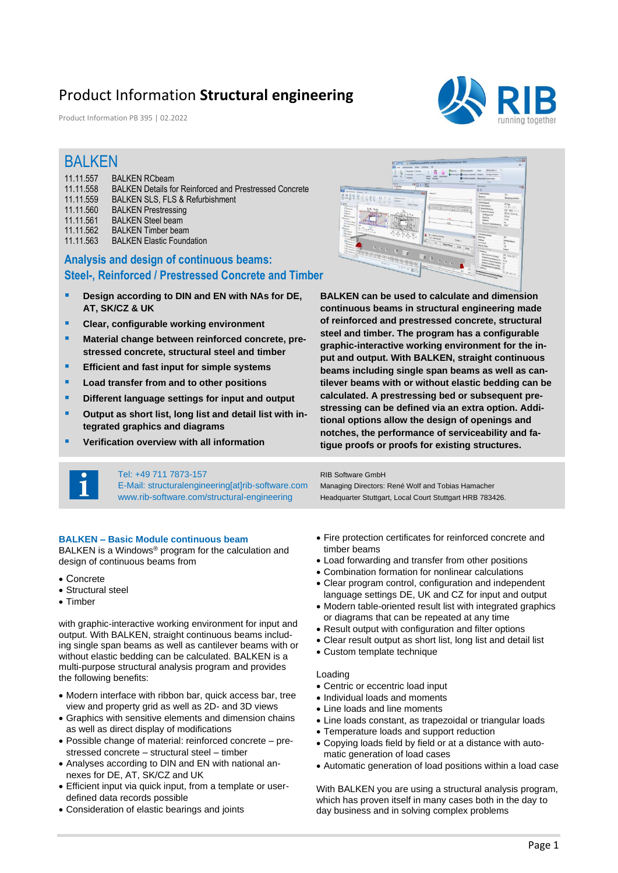## Product Information **Structural engineering**

Product Information PB 395 | 02.2022



### BALKEN

| 11.11.557 | <b>BALKEN RCbeam</b>                                          |
|-----------|---------------------------------------------------------------|
| 11.11.558 | <b>BALKEN Details for Reinforced and Prestressed Concrete</b> |
| 11.11.559 | <b>BALKEN SLS. FLS &amp; Refurbishment</b>                    |
| 11.11.560 | <b>BALKEN Prestressing</b>                                    |
| 11.11.561 | <b>BALKEN Steel beam</b>                                      |
| 11.11.562 | <b>BALKEN Timber beam</b>                                     |
| 11.11.563 | <b>BALKEN Elastic Foundation</b>                              |
|           |                                                               |

### **Analysis and design of continuous beams: Steel-, Reinforced / Prestressed Concrete and Timber**

- **Design according to DIN and EN with NAs for DE, AT, SK/CZ & UK**
- **Clear, configurable working environment**
- Material change between reinforced concrete, pre**stressed concrete, structural steel and timber**
- **Efficient and fast input for simple systems**
- **Load transfer from and to other positions**
- **Different language settings for input and output**
- Output as short list, long list and detail list with in**tegrated graphics and diagrams**
- **Verification overview with all information**



**BALKEN can be used to calculate and dimension continuous beams in structural engineering made of reinforced and prestressed concrete, structural steel and timber. The program has a configurable graphic-interactive working environment for the input and output. With BALKEN, straight continuous beams including single span beams as well as cantilever beams with or without elastic bedding can be calculated. A prestressing bed or subsequent prestressing can be defined via an extra option. Additional options allow the design of openings and notches, the performance of serviceability and fatigue proofs or proofs for existing structures.**

#### Tel: +49 711 7873-157

E-Mail: structuralengineering[at]rib-software.com www.rib-software.com/structural-engineering

#### **BALKEN – Basic Module continuous beam**

BALKEN is a Windows® program for the calculation and design of continuous beams from

- Concrete
- Structural steel
- Timber

with graphic-interactive working environment for input and output. With BALKEN, straight continuous beams including single span beams as well as cantilever beams with or without elastic bedding can be calculated. BALKEN is a multi-purpose structural analysis program and provides the following benefits:

- Modern interface with ribbon bar, quick access bar, tree view and property grid as well as 2D- and 3D views
- Graphics with sensitive elements and dimension chains as well as direct display of modifications
- Possible change of material: reinforced concrete prestressed concrete – structural steel – timber
- Analyses according to DIN and EN with national annexes for DE, AT, SK/CZ and UK
- Efficient input via quick input, from a template or userdefined data records possible
- Consideration of elastic bearings and joints

• Fire protection certificates for reinforced concrete and timber beams

• Load forwarding and transfer from other positions

Managing Directors: René Wolf and Tobias Hamacher Headquarter Stuttgart, Local Court Stuttgart HRB 783426.

- Combination formation for nonlinear calculations
- Clear program control, configuration and independent language settings DE, UK and CZ for input and output
- Modern table-oriented result list with integrated graphics or diagrams that can be repeated at any time
- Result output with configuration and filter options
- Clear result output as short list, long list and detail list
- Custom template technique

#### Loading

RIB Software GmbH

- Centric or eccentric load input
- Individual loads and moments
- Line loads and line moments
- Line loads constant, as trapezoidal or triangular loads
- Temperature loads and support reduction
- Copying loads field by field or at a distance with automatic generation of load cases
- Automatic generation of load positions within a load case

With BALKEN you are using a structural analysis program, which has proven itself in many cases both in the day to day business and in solving complex problems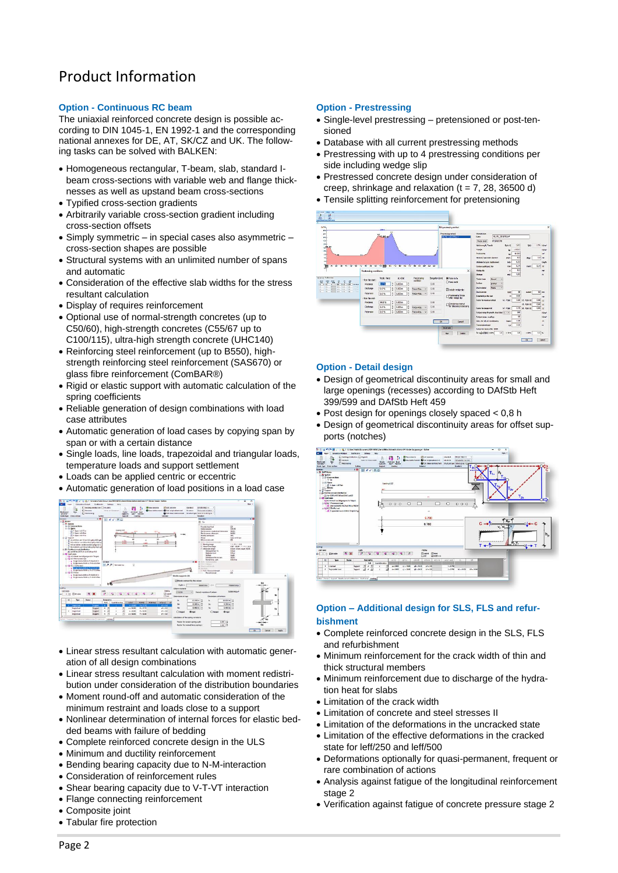# Product Information

#### **Option - Continuous RC beam**

The uniaxial reinforced concrete design is possible according to DIN 1045-1, EN 1992-1 and the corresponding national annexes for DE, AT, SK/CZ and UK. The following tasks can be solved with BALKEN:

- Homogeneous rectangular, T-beam, slab, standard Ibeam cross-sections with variable web and flange thicknesses as well as upstand beam cross-sections
- Typified cross-section gradients
- Arbitrarily variable cross-section gradient including cross-section offsets
- Simply symmetric in special cases also asymmetric cross-section shapes are possible
- Structural systems with an unlimited number of spans and automatic
- Consideration of the effective slab widths for the stress resultant calculation
- Display of requires reinforcement
- Optional use of normal-strength concretes (up to C50/60), high-strength concretes (C55/67 up to C100/115), ultra-high strength concrete (UHC140)
- Reinforcing steel reinforcement (up to B550), highstrength reinforcing steel reinforcement (SAS670) or glass fibre reinforcement (ComBAR®)
- Rigid or elastic support with automatic calculation of the spring coefficients
- Reliable generation of design combinations with load case attributes
- Automatic generation of load cases by copying span by span or with a certain distance
- Single loads, line loads, trapezoidal and triangular loads, temperature loads and support settlement
- Loads can be applied centric or eccentric
- Automatic generation of load positions in a load case



- Linear stress resultant calculation with automatic generation of all design combinations
- Linear stress resultant calculation with moment redistribution under consideration of the distribution boundaries
- Moment round-off and automatic consideration of the minimum restraint and loads close to a support
- Nonlinear determination of internal forces for elastic bedded beams with failure of bedding
- Complete reinforced concrete design in the ULS
- Minimum and ductility reinforcement
- Bending bearing capacity due to N-M-interaction
- Consideration of reinforcement rules
- Shear bearing capacity due to V-T-VT interaction
- Flange connecting reinforcement
- Composite joint
- Tabular fire protection

#### **Option - Prestressing**

- Single-level prestressing pretensioned or post-tensioned
- Database with all current prestressing methods
- Prestressing with up to 4 prestressing conditions per side including wedge slip
- Prestressed concrete design under consideration of creep, shrinkage and relaxation  $(t = 7, 28, 36500 d)$
- Tensile splitting reinforcement for pretensioning



#### **Option - Detail design**

- Design of geometrical discontinuity areas for small and large openings (recesses) according to DAfStb Heft 399/599 and DAfStb Heft 459
- Post design for openings closely spaced < 0,8 h
- Design of geometrical discontinuity areas for offset supports (notches)



#### **Option – Additional design for SLS, FLS and refurbishment**

- Complete reinforced concrete design in the SLS, FLS and refurbishment
- Minimum reinforcement for the crack width of thin and thick structural members
- Minimum reinforcement due to discharge of the hydration heat for slabs
- Limitation of the crack width
- Limitation of concrete and steel stresses II
- Limitation of the deformations in the uncracked state
- Limitation of the effective deformations in the cracked state for leff/250 and leff/500
- Deformations optionally for quasi-permanent, frequent or rare combination of actions
- Analysis against fatigue of the longitudinal reinforcement stage 2
- Verification against fatigue of concrete pressure stage 2